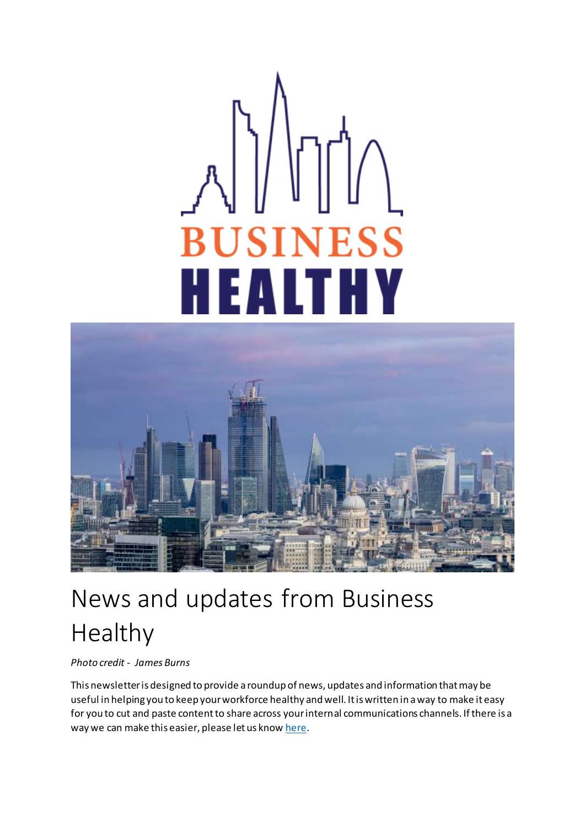# **BUSINESS** ALTHY И



# News and updates from Business Healthy

*Photo credit - James Burns*

This newsletter is designed to provide a roundup of news, updates and information that may be useful in helping you to keep your workforce healthy and well. It is written in a way to make it easy for you to cut and paste content to share across your internal communications channels. If there is a way we can make this easier, please let us kno[w here](mailto:businesshealthy@cityoflondon.gov.uk).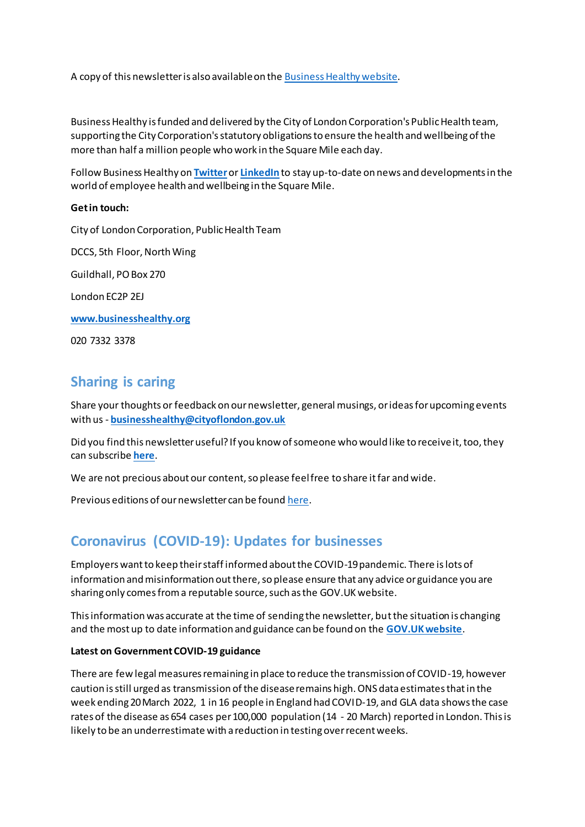A copy of this newsletter is also available on th[e Business Healthy website](https://www.businesshealthy.org/blog/).

Business Healthy is funded and delivered by the City of London Corporation's Public Health team, supporting the City Corporation's statutory obligations to ensure the health and wellbeing of the more than half a million people who work in the Square Mile each day.

Follow Business Healthy on **[Twitter](https://twitter.com/bizhealthy)**or **[LinkedIn](https://www.linkedin.com/company/4997221/)** to stay up-to-date on news and developments in the world of employee health and wellbeing in the Square Mile.

#### **Get in touch:**

City of London Corporation, Public Health Team DCCS, 5th Floor, North Wing Guildhall, PO Box 270 London EC2P 2EJ **[www.businesshealthy.org](https://www.businesshealthy.org/)**

020 7332 3378

# **Sharing is caring**

Share your thoughts or feedback on our newsletter, general musings, or ideas for upcoming events with us - **[businesshealthy@cityoflondon.gov.uk](mailto:businesshealthy@cityoflondon.gov.uk)**

Did you find this newsletter useful? If you know of someone who would like to receive it, too, they can subscribe **[here](https://www.businesshealthy.org/my-account/membership-checkout/?level=1)**.

We are not precious about our content, so please feel free to share it far and wide.

Previous editions of our newsletter can be foun[d here.](https://www.businesshealthy.org/blog)

# **Coronavirus (COVID-19): Updates for businesses**

Employers want to keep their staff informed about the COVID-19 pandemic. There is lots of information and misinformation out there, so please ensure that any advice or guidance you are sharing only comes from a reputable source, such as the GOV.UK website.

This information was accurate at the time of sending the newsletter, but the situation is changing and the most up to date information and guidance can be found on the **[GOV.UK website](https://www.gov.uk/coronavirus)**.

#### **Latest on Government COVID-19 guidance**

There are few legal measures remaining in place to reduce the transmission of COVID-19, however caution is still urged as transmission of the disease remains high. ONS data estimates that in the week ending 20 March 2022, 1 in 16 people in England had COVID-19, and GLA data shows the case rates of the disease as 654 cases per 100,000 population (14 - 20 March) reported in London. This is likely to be an underrestimate with a reduction in testing over recent weeks.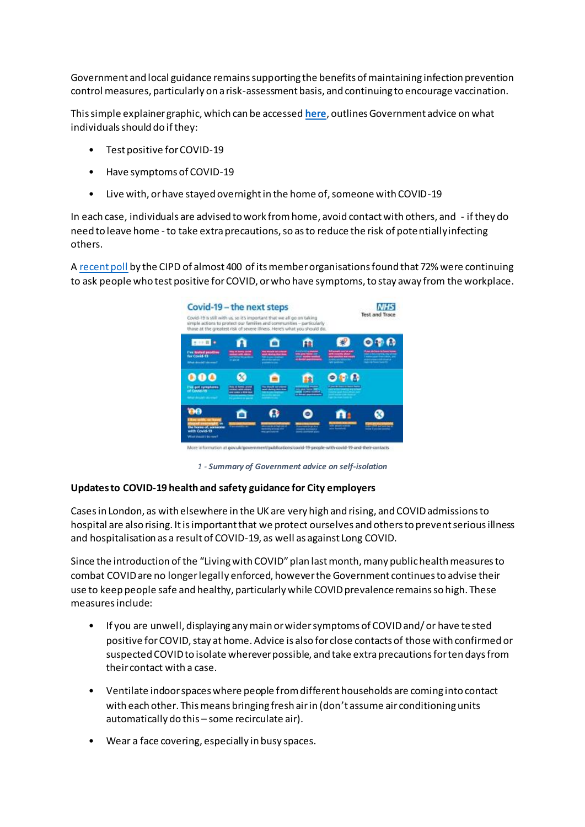Government and local guidance remains supporting the benefits of maintaining infection prevention control measures, particularly on a risk-assessment basis, and continuing to encourage vaccination.

This simple explainer graphic, which can be accessed **[here](https://www.businesshealthy.org/wp-content/uploads/2022/03/2022.2.22_Self_Isolation_Changes_A4.pdf)**, outlines Government advice on what individuals should do if they:

- Test positive for COVID-19
- Have symptoms of COVID-19
- Live with, or have stayed overnight in the home of, someone with COVID-19

In each case, individuals are advised to work from home, avoid contact with others, and - if they do need to leave home -to take extra precautions, so as to reduce the risk of potentially infecting others.

A [recent poll](https://image.comms.cipdmail.com/lib/fe8e13727c61007b75/m/1/873084a5-d2ba-49f3-9a59-e92f346daf91.png?utm_source=mc&utm_medium=email&utm_content=cipdupdate_02032022.EdL2_Poll_Result_23Feb&utm_campaign=cipd_update&utm_term=5194989) by the CIPD of almost 400 of its member organisations found that 72% were continuing to ask people who test positive for COVID, or who have symptoms, to stay away from the workplace.



*1 - Summary of Government advice on self-isolation*

#### **Updates to COVID-19 health and safety guidance for City employers**

Cases in London, as with elsewhere in the UK are very high and rising, and COVID admissions to hospital are also rising. It is important that we protect ourselves and others to prevent serious illness and hospitalisation as a result of COVID-19, as well as against Long COVID.

Since the introduction of the "Living with COVID" plan last month, many public health measures to combat COVID are no longer legally enforced, however the Government continues to advise their use to keep people safe and healthy, particularly while COVID prevalence remains so high. These measures include:

- If you are unwell, displaying any main or wider symptoms of COVID and/ or have te sted positive for COVID, stay at home. Advice is also for close contacts of those with confirmed or suspected COVID to isolate wherever possible, and take extra precautions for ten days from their contact with a case.
- Ventilate indoor spaces where people from different households are coming into contact with each other. This means bringing fresh air in (don't assume air conditioning units automatically do this – some recirculate air).
- Wear a face covering, especially in busy spaces.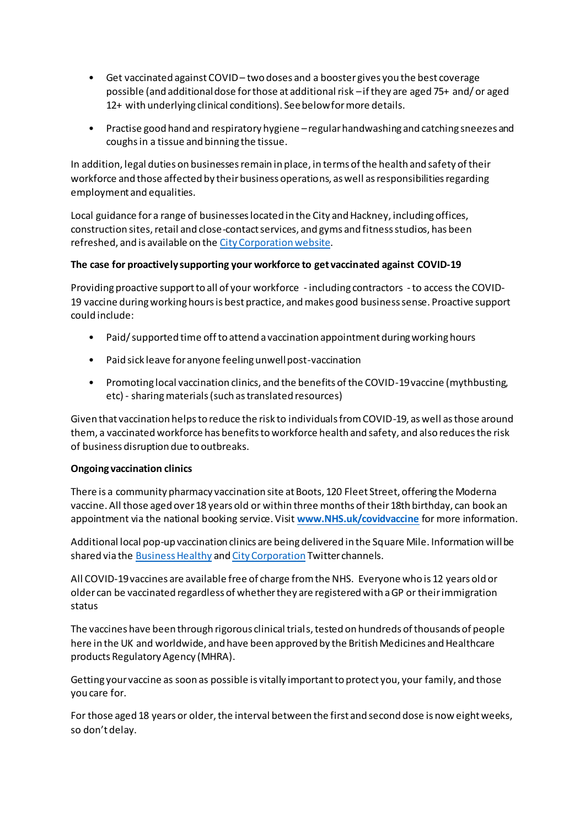- Get vaccinated against COVID two doses and a booster gives you the best coverage possible (and additional dose for those at additional risk –if they are aged 75+ and/ or aged 12+ with underlying clinical conditions). See below for more details.
- Practise good hand and respiratory hygiene –regular handwashing and catching sneezes and coughs in a tissue and binning the tissue.

In addition, legal duties on businesses remain in place, in terms of the health and safety of their workforce and those affected by their business operations, as well as responsibilities regarding employment and equalities.

Local guidance for a range of businesses located in the City and Hackney, including offices, construction sites, retail and close-contact services, and gyms and fitness studios, has been refreshed, and is available on th[e City Corporation website](https://www.cityoflondon.gov.uk/services/health-and-wellbeing/covid-19-local-outbreak-prevention-and-management).

#### **The case for proactively supporting your workforce to get vaccinated against COVID-19**

Providing proactive support to all of your workforce - including contractors -to access the COVID-19 vaccine during working hours is best practice, and makes good business sense. Proactive support could include:

- Paid/ supported time off to attend a vaccination appointment during working hours
- Paid sick leave for anyone feeling unwell post-vaccination
- Promoting local vaccination clinics, and the benefits of the COVID-19 vaccine (mythbusting, etc) - sharing materials (such as translated resources)

Given that vaccination helps to reduce the risk to individuals from COVID-19, as well as those around them, a vaccinated workforce has benefits to workforce health and safety, and also reduces the risk of business disruption due to outbreaks.

#### **Ongoing vaccination clinics**

There is a community pharmacy vaccination site at Boots, 120 Fleet Street, offering the Moderna vaccine. All those aged over 18 years old or within three months of their 18th birthday, can book an appointment via the national booking service. Visit **[www.NHS.uk/covidvaccine](https://gbr01.safelinks.protection.outlook.com/?url=http%3A%2F%2Fwww.nhs.uk%2Fcovidvaccine&data=04|01||8a55db0603b940fe363408d976d5f781|9fe658cdb3cd405685193222ffa96be8|1|0|637671483608985687|Unknown|TWFpbGZsb3d8eyJWIjoiMC4wLjAwMDAiLCJQIjoiV2luMzIiLCJBTiI6Ik1haWwiLCJXVCI6Mn0%3D|1000&sdata=ctrt%2B7oy5%2F6VeQNXVMZguCnRyQGIPLSetLfo4QvlLkE%3D&reserved=0)** for more information.

Additional local pop-up vaccination clinics are being delivered in the Square Mile. Information will be shared via th[e Business Healthy](https://twitter.com/bizhealthy) an[d City Corporation](https://twitter.com/cityoflondon) Twitter channels.

All COVID-19 vaccines are available free of charge from the NHS. Everyone who is 12 years old or older can be vaccinated regardless of whether they are registered with a GP or their immigration status

The vaccines have been through rigorous clinical trials, tested on hundreds of thousands of people here in the UK and worldwide, and have been approved by the British Medicines and Healthcare products Regulatory Agency (MHRA).

Getting your vaccine as soon as possible is vitally important to protect you, your family, and those you care for.

For those aged 18 years or older, the interval between the first and second dose is now eight weeks, so don't delay.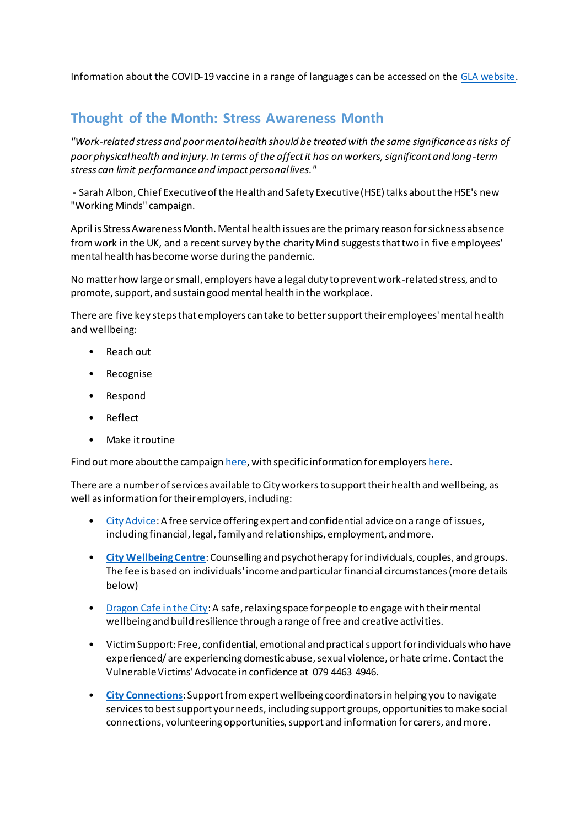Information about the COVID-19 vaccine in a range of languages can be accessed on th[e GLA website.](https://www.london.gov.uk/lists/covid-19-resources-and-services-your-language)

# **Thought of the Month: Stress Awareness Month**

*"Work-related stress and poor mental health should be treated with the same significance as risks of poor physical health and injury. In terms of the affect it has on workers, significant and long-term stress can limit performance and impact personal lives."*

- Sarah Albon, Chief Executive of the Health and Safety Executive (HSE) talks about the HSE's new "Working Minds" campaign.

April is Stress Awareness Month. Mental health issues are the primary reason for sickness absence from work in the UK, and a recent survey by the charity Mind suggests that two in five employees' mental health has become worse during the pandemic.

No matter how large or small, employers have a legal duty to prevent work-related stress, and to promote, support, and sustain good mental health in the workplace.

There are five key steps that employers can take to better support their employees' mental health and wellbeing:

- Reach out
- Recognise
- Respond
- Reflect
- Make it routine

Find out more about the campaig[n here,](https://workright.campaign.gov.uk/workingminds/) with specific information for employer[s here](https://workright.campaign.gov.uk/campaigns/workingminds/working-minds-employers/).

There are a number of services available to City workers to support their health and wellbeing, as well as information for their employers, including:

- [City Advice:](https://www.toynbeehall.org.uk/cityadvice/) A free service offering expert and confidential advice on a range of issues, including financial, legal, family and relationships, employment, and more.
- **[City Wellbeing Centre](https://tavistockrelationships.org/counselling-psychotherapy/citywellbeingcentre)**: Counselling and psychotherapy for individuals, couples, and groups. The fee is based on individuals' income and particular financial circumstances (more details below)
- [Dragon Cafe in the City:](https://www.dragoncafeinthecity.com/) A safe, relaxing space for people to engage with their mental wellbeing and build resilience through a range of free and creative activities.
- Victim Support: Free, confidential, emotional and practical support for individuals who have experienced/ are experiencing domestic abuse, sexual violence, or hate crime. Contact the Vulnerable Victims' Advocate in confidence at 079 4463 4946.
- **[City Connections](https://cityconnections.org.uk/)**: Support from expert wellbeing coordinators in helping you to navigate services to best support your needs, including support groups, opportunities to make social connections, volunteering opportunities, support and information for carers, and more.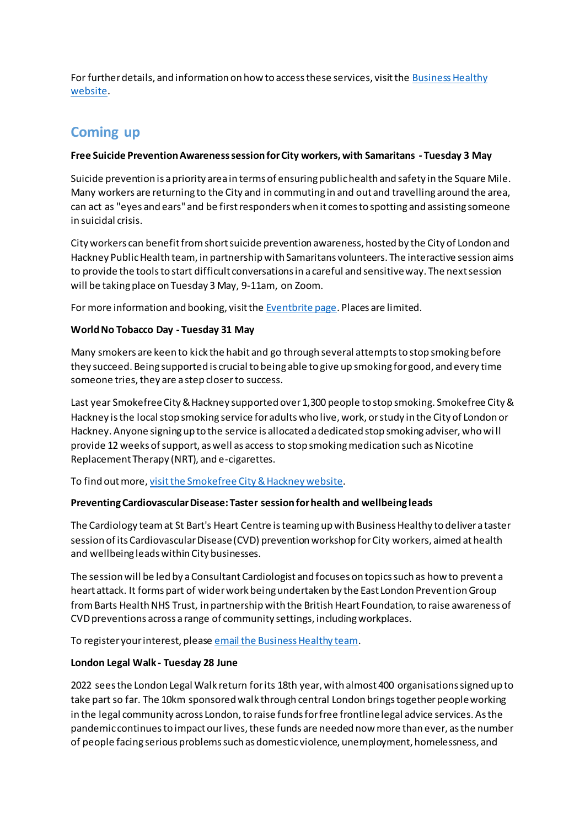For further details, and information on how to access these services, visit th[e Business Healthy](https://www.businesshealthy.org/providers/)  [website](https://www.businesshealthy.org/providers/).

# **Coming up**

### **Free Suicide Prevention Awareness session for City workers, with Samaritans - Tuesday 3 May**

Suicide prevention is a priority area in terms of ensuring public health and safety in the Square Mile. Many workers are returning to the City and in commuting in and out and travelling around the area, can act as "eyes and ears" and be first responders when it comes to spotting and assisting someone in suicidal crisis.

City workers can benefit from short suicide prevention awareness, hosted by the City of London and Hackney Public Health team, in partnership with Samaritans volunteers. The interactive session aims to provide the tools to start difficult conversations in a careful and sensitive way. The next session will be taking place on Tuesday 3 May, 9-11am, on Zoom.

For more information and booking, visit th[e Eventbrite page](https://www.eventbrite.co.uk/e/free-suicide-prevention-awareness-for-city-of-london-businesses-tickets-301340737257?aff=ebdsoporgprofile). Places are limited.

## **World No Tobacco Day - Tuesday 31 May**

Many smokers are keen to kick the habit and go through several attempts to stop smoking before they succeed. Being supported is crucial to being able to give up smoking for good, and every time someone tries, they are a step closer to success.

Last year Smokefree City & Hackney supported over 1,300 people to stop smoking. Smokefree City & Hackney is the local stop smoking service for adults who live, work, or study in the City of London or Hackney. Anyone signing up to the service is allocated a dedicated stop smoking adviser, who wi ll provide 12 weeks of support, as well as access to stop smoking medication such as Nicotine Replacement Therapy (NRT), and e-cigarettes.

To find out more[, visit the Smokefree City & Hackney website](https://smokefreecityandhackney.org/).

# **Preventing Cardiovascular Disease: Taster session for health and wellbeing leads**

The Cardiology team at St Bart's Heart Centre is teaming up with Business Healthy to deliver a taster session of its Cardiovascular Disease (CVD) prevention workshop for City workers, aimed at health and wellbeing leads within City businesses.

The session will be led by a Consultant Cardiologist and focuses on topics such as how to prevent a heart attack. It forms part of wider work being undertaken by the East London Prevention Group from Barts Health NHS Trust, in partnership with the British Heart Foundation, to raise awareness of CVD preventions across a range of community settings, including workplaces.

To register your interest, pleas[e email the Business Healthy team.](https://businesshealthy@cityoflondon.gov.uk/)

# **London Legal Walk - Tuesday 28 June**

2022 sees the London Legal Walk return for its 18th year, with almost 400 organisations signed up to take part so far. The 10km sponsored walk through central London brings together people working in the legal community across London, to raise funds for free frontline legal advice services. As the pandemic continues to impact our lives, these funds are needed now more than ever, as the number of people facing serious problems such as domestic violence, unemployment, homelessness, and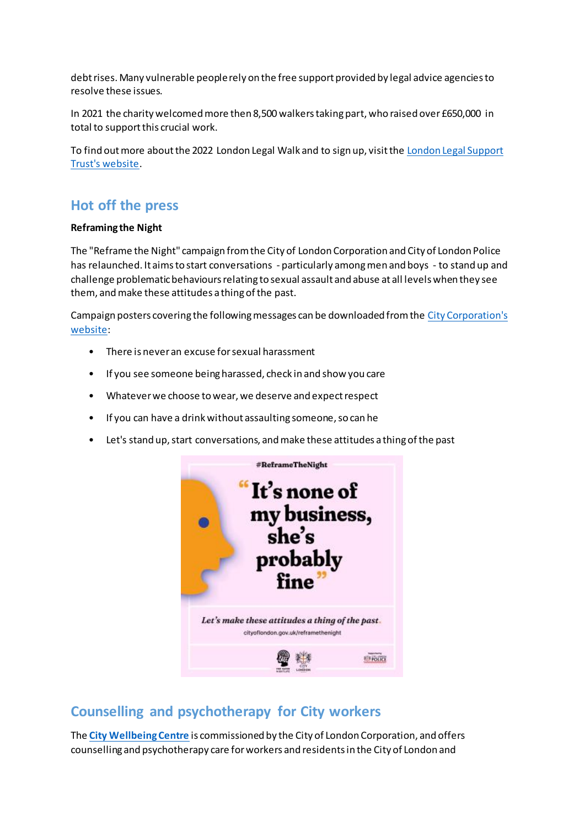debt rises. Many vulnerable people rely on the free support provided by legal advice agencies to resolve these issues.

In 2021 the charity welcomed more then 8,500 walkers taking part, who raised over £650,000 in total to support this crucial work.

To find out more about the 2022 London Legal Walk and to sign up, visit th[e London Legal Support](https://londonlegalsupporttrust.org.uk/)  [Trust's website.](https://londonlegalsupporttrust.org.uk/)

# **Hot off the press**

#### **Reframing the Night**

The "Reframe the Night" campaign from the City of London Corporation and City of London Police has relaunched. It aims to start conversations - particularly among men and boys - to stand up and challenge problematic behaviours relating to sexual assault and abuse at all levels when they see them, and make these attitudes a thing of the past.

Campaign posters covering the following messages can be downloaded from th[e City Corporation's](https://www.cityoflondon.gov.uk/assets/Services-DCCS/reframe-the-night-posters.pdf)  [website](https://www.cityoflondon.gov.uk/assets/Services-DCCS/reframe-the-night-posters.pdf):

- There is never an excuse for sexual harassment
- If you see someone being harassed, check in and show you care
- Whatever we choose to wear, we deserve and expect respect
- If you can have a drink without assaulting someone, so can he
- Let's stand up, start conversations, and make these attitudes a thing of the past



# **Counselling and psychotherapy for City workers**

The **[City Wellbeing Centre](https://tavistockrelationships.org/counselling-psychotherapy/citywellbeingcentre)** is commissioned by the City of London Corporation, and offers counselling and psychotherapy care for workers and residents in the City of London and